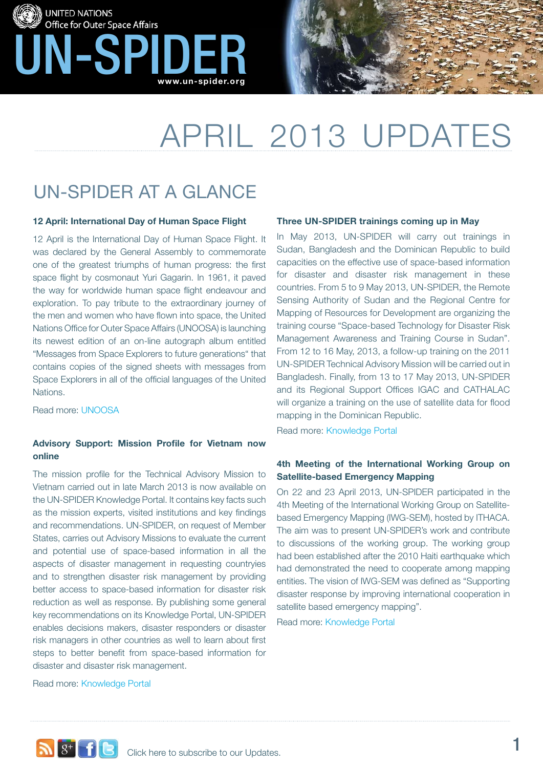



# april 2013 Updates

## UN-SPIDER at a glance

### **12 April: International Day of Human Space Flight**

12 April is the International Day of Human Space Flight. It was declared by the General Assembly to commemorate one of the greatest triumphs of human progress: the first space flight by cosmonaut Yuri Gagarin. In 1961, it paved the way for worldwide human space flight endeavour and exploration. To pay tribute to the extraordinary journey of the men and women who have flown into space, the United Nations Office for Outer Space Affairs (UNOOSA) is launching its newest edition of an on-line autograph album entitled "Messages from Space Explorers to future generations" that contains copies of the signed sheets with messages from Space Explorers in all of the official languages of the United Nations.

Read more: [UNOOSA](http://www.unoosa.org/oosa/mse/index.html)

## **Advisory Support: Mission Profile for Vietnam now online**

The mission profile for the Technical Advisory Mission to Vietnam carried out in late March 2013 is now available on the UN-SPIDER Knowledge Portal. It contains key facts such as the mission experts, visited institutions and key findings and recommendations. UN-SPIDER, on request of Member States, carries out Advisory Missions to evaluate the current and potential use of space-based information in all the aspects of disaster management in requesting countryies and to strengthen disaster risk management by providing better access to space-based information for disaster risk reduction as well as response. By publishing some general key recommendations on its Knowledge Portal, UN-SPIDER enables decisions makers, disaster responders or disaster risk managers in other countries as well to learn about first steps to better benefit from space-based information for disaster and disaster risk management.

### Read more: [Knowledge Portal](http://www.un-spider.org/advisory-support/advisory-missions/vietnam-technical-advisory-mission)

## **Three UN-SPIDER trainings coming up in May**

In May 2013, UN-SPIDER will carry out trainings in Sudan, Bangladesh and the Dominican Republic to build capacities on the effective use of space-based information for disaster and disaster risk management in these countries. From 5 to 9 May 2013, UN-SPIDER, the Remote Sensing Authority of Sudan and the Regional Centre for Mapping of Resources for Development are organizing the training course "Space-based Technology for Disaster Risk Management Awareness and Training Course in Sudan". From 12 to 16 May, 2013, a follow-up training on the 2011 UN-SPIDER Technical Advisory Mission will be carried out in Bangladesh. Finally, from 13 to 17 May 2013, UN-SPIDER and its Regional Support Offices IGAC and CATHALAC will organize a training on the use of satellite data for flood mapping in the Dominican Republic.

Read more: [Knowledge Portal](http://www.un-spider.org/content/5493/advisory-missions)

## **4th Meeting of the International Working Group on Satellite-based Emergency Mapping**

On 22 and 23 April 2013, UN-SPIDER participated in the 4th Meeting of the International Working Group on Satellitebased Emergency Mapping (IWG-SEM), hosted by ITHACA. The aim was to present UN-SPIDER's work and contribute to discussions of the working group. The working group had been established after the 2010 Haiti earthquake which had demonstrated the need to cooperate among mapping entities. The vision of IWG-SEM was defined as "Supporting disaster response by improving international cooperation in satellite based emergency mapping".

Read more: [Knowledge Portal](http://www.un-spider.org/about-us/news/en/6637/2013-04-30t114500/4th-meeting-international-working-group-satellite-based)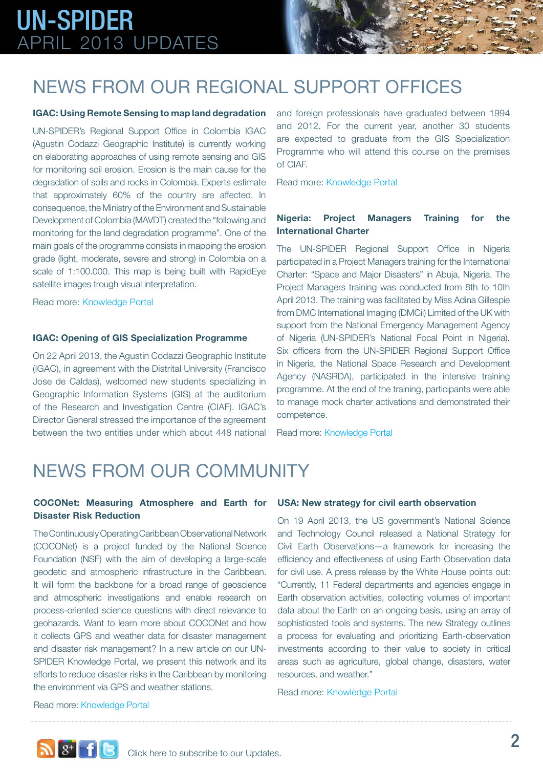## UN-SPIDER APRIL 2013 Updates

## News from our REGIONAL SUPPORT OFFICES

### **IGAC: Using Remote Sensing to map land degradation**

UN-SPIDER's Regional Support Office in Colombia IGAC (Agustin Codazzi Geographic Institute) is currently working on elaborating approaches of using remote sensing and GIS for monitoring soil erosion. Erosion is the main cause for the degradation of soils and rocks in Colombia. Experts estimate that approximately 60% of the country are affected. In consequence, the Ministry of the Environment and Sustainable Development of Colombia (MAVDT) created the "following and monitoring for the land degradation programme". One of the main goals of the programme consists in mapping the erosion grade (light, moderate, severe and strong) in Colombia on a scale of 1:100.000. This map is being built with RapidEye satellite images trough visual interpretation.

Read more: [Knowledge Portal](http://www.un-spider.org/about-us/news/en/6618/2013-04-23t171100/igac-using-remote-sensing-map-land-degradation)

### **IGAC: Opening of GIS Specialization Programme**

On 22 April 2013, the Agustin Codazzi Geographic Institute (IGAC), in agreement with the Distrital University (Francisco Jose de Caldas), welcomed new students specializing in Geographic Information Systems (GIS) at the auditorium of the Research and Investigation Centre (CIAF). IGAC's Director General stressed the importance of the agreement between the two entities under which about 448 national and foreign professionals have graduated between 1994 and 2012. For the current year, another 30 students are expected to graduate from the GIS Specialization Programme who will attend this course on the premises of CIAF.

Read more: [Knowledge Portal](http://www.un-spider.org/about-us/news/en/6633/2013-04-30t082000/igac-opening-gis-specialization-programme)

## **Nigeria: Project Managers Training for the International Charter**

The UN-SPIDER Regional Support Office in Nigeria participated in a Project Managers training for the International Charter: "Space and Major Disasters" in Abuja, Nigeria. The Project Managers training was conducted from 8th to 10th April 2013. The training was facilitated by Miss Adina Gillespie from DMC International Imaging (DMCii) Limited of the UK with support from the National Emergency Management Agency of Nigeria (UN-SPIDER's National Focal Point in Nigeria). Six officers from the UN-SPIDER Regional Support Office in Nigeria, the National Space Research and Development Agency (NASRDA), participated in the intensive training programme. At the end of the training, participants were able to manage mock charter activations and demonstrated their competence.

Read more: [Knowledge Portal](http://www.un-spider.org/about-us/news/en/6632/2013-04-29t092600/nigeria-project-managers-training-international-charter)

## News from our community

## **COCONet: Measuring Atmosphere and Earth for USA: New strategy for civil earth observation Disaster Risk Reduction**

The Continuously Operating Caribbean Observational Network (COCONet) is a project funded by the National Science Foundation (NSF) with the aim of developing a large-scale geodetic and atmospheric infrastructure in the Caribbean. It will form the backbone for a broad range of geoscience and atmospheric investigations and enable research on process-oriented science questions with direct relevance to geohazards. Want to learn more about COCONet and how it collects GPS and weather data for disaster management and disaster risk management? In a new article on our UN-SPIDER Knowledge Portal, we present this network and its efforts to reduce disaster risks in the Caribbean by monitoring the environment via GPS and weather stations.

On 19 April 2013, the US government's National Science and Technology Council released a National Strategy for Civil Earth Observations—a framework for increasing the efficiency and effectiveness of using Earth Observation data for civil use. A press release by the White House points out: "Currently, 11 Federal departments and agencies engage in Earth observation activities, collecting volumes of important data about the Earth on an ongoing basis, using an array of sophisticated tools and systems. The new Strategy outlines a process for evaluating and prioritizing Earth-observation investments according to their value to society in critical areas such as agriculture, global change, disasters, water resources, and weather."

Read more: [Knowledge Portal](http://www.un-spider.org/about-us/news/en/6605/2013-04-22t093100/usa-new-strategy-civil-earth-observation)

Read more[: Knowledge Portal](http://www.un-spider.org/space-application-guides/coconet-measuring-atmosphere-and-earth-reduce-risk-natural-hazards)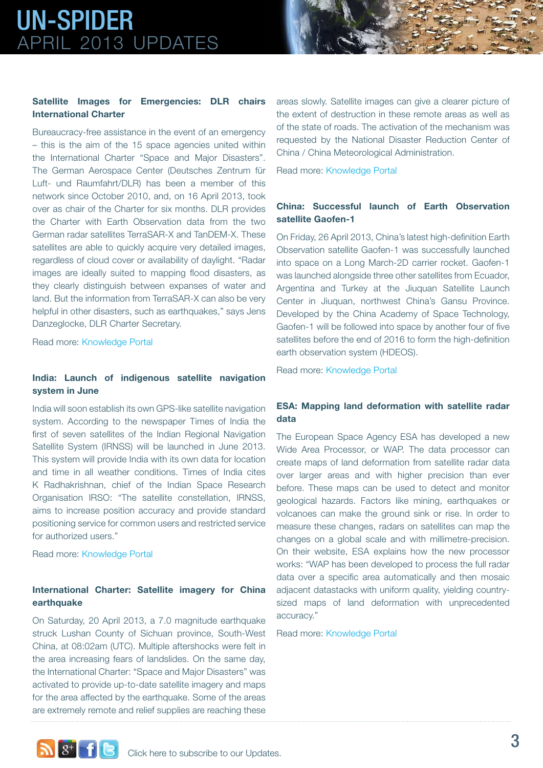## UN-SPIDER APRIL 2013 Updates

## **Satellite Images for Emergencies: DLR chairs International Charter**

Bureaucracy-free assistance in the event of an emergency – this is the aim of the 15 space agencies united within the International Charter "Space and Major Disasters". The German Aerospace Center (Deutsches Zentrum für Luft- und Raumfahrt/DLR) has been a member of this network since October 2010, and, on 16 April 2013, took over as chair of the Charter for six months. DLR provides the Charter with Earth Observation data from the two German radar satellites TerraSAR-X and TanDEM-X. These satellites are able to quickly acquire very detailed images, regardless of cloud cover or availability of daylight. "Radar images are ideally suited to mapping flood disasters, as they clearly distinguish between expanses of water and land. But the information from TerraSAR-X can also be very helpful in other disasters, such as earthquakes," says Jens Danzeglocke, DLR Charter Secretary.

Read more: [Knowledge Portal](http://www.un-spider.org/about-us/news/en/6598/2013-04-16t120200/satellite-images-emergencies-dlr-chair-international-charter)

## **India: Launch of indigenous satellite navigation system in June**

India will soon establish its own GPS-like satellite navigation system. According to the newspaper Times of India the first of seven satellites of the Indian Regional Navigation Satellite System (IRNSS) will be launched in June 2013. This system will provide India with its own data for location and time in all weather conditions. Times of India cites K Radhakrishnan, chief of the Indian Space Research Organisation IRSO: "The satellite constellation, IRNSS, aims to increase position accuracy and provide standard positioning service for common users and restricted service for authorized users."

Read more: [Knowledge Portal](http://www.un-spider.org/about-us/news/en/6619/2013-04-23t100300/india-launch-indigenous-satellite-navigation-system-june)

## **International Charter: Satellite imagery for China earthquake**

On Saturday, 20 April 2013, a 7.0 magnitude earthquake struck Lushan County of Sichuan province, South-West China, at 08:02am (UTC). Multiple aftershocks were felt in the area increasing fears of landslides. On the same day, the International Charter: "Space and Major Disasters" was activated to provide up-to-date satellite imagery and maps for the area affected by the earthquake. Some of the areas are extremely remote and relief supplies are reaching these

areas slowly. Satellite images can give a clearer picture of the extent of destruction in these remote areas as well as of the state of roads. The activation of the mechanism was requested by the National Disaster Reduction Center of China / China Meteorological Administration.

Read more: [Knowledge Portal](http://www.un-spider.org/about-us/news/en/6624/2013-04-24t102600/international-charter-satellite-imagery-china-earthquake)

## **China: Successful launch of Earth Observation satellite Gaofen-1**

On Friday, 26 April 2013, China's latest high-definition Earth Observation satellite Gaofen-1 was successfully launched into space on a Long March-2D carrier rocket. Gaofen-1 was launched alongside three other satellites from Ecuador, Argentina and Turkey at the Jiuquan Satellite Launch Center in Jiuquan, northwest China's Gansu Province. Developed by the China Academy of Space Technology, Gaofen-1 will be followed into space by another four of five satellites before the end of 2016 to form the high-definition earth observation system (HDEOS).

Read more: [Knowledge Portal](http://www.un-spider.org/about-us/news/en/6631/2013-04-29t091400/china-successful-launch-earth-observation-satellite-gaofen-1)

## **ESA: Mapping land deformation with satellite radar data**

The European Space Agency ESA has developed a new Wide Area Processor, or WAP. The data processor can create maps of land deformation from satellite radar data over larger areas and with higher precision than ever before. These maps can be used to detect and monitor geological hazards. Factors like mining, earthquakes or volcanoes can make the ground sink or rise. In order to measure these changes, radars on satellites can map the changes on a global scale and with millimetre-precision. On their website, ESA explains how the new processor works: "WAP has been developed to process the full radar data over a specific area automatically and then mosaic adjacent datastacks with uniform quality, yielding countrysized maps of land deformation with unprecedented accuracy."

Read more: [Knowledge Portal](http://www.un-spider.org/about-us/news/en/6634/2013-05-01t145400/esa-mapping-land-deformation-satellite-radar-data)